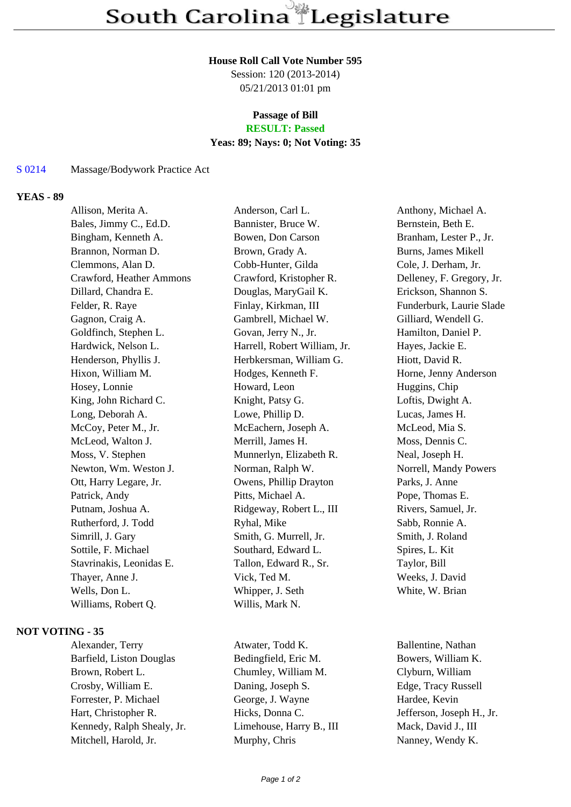#### **House Roll Call Vote Number 595**

Session: 120 (2013-2014) 05/21/2013 01:01 pm

# **Passage of Bill**

# **RESULT: Passed**

## **Yeas: 89; Nays: 0; Not Voting: 35**

#### S 0214 Massage/Bodywork Practice Act

## **YEAS - 89**

| Allison, Merita A.       | Anderson, Carl L.            | Anthony, Michael A.        |
|--------------------------|------------------------------|----------------------------|
| Bales, Jimmy C., Ed.D.   | Bannister, Bruce W.          | Bernstein, Beth E.         |
| Bingham, Kenneth A.      | Bowen, Don Carson            | Branham, Lester P., Jr.    |
| Brannon, Norman D.       | Brown, Grady A.              | <b>Burns, James Mikell</b> |
| Clemmons, Alan D.        | Cobb-Hunter, Gilda           | Cole, J. Derham, Jr.       |
| Crawford, Heather Ammons | Crawford, Kristopher R.      | Delleney, F. Gregory, Jr.  |
| Dillard, Chandra E.      | Douglas, MaryGail K.         | Erickson, Shannon S.       |
| Felder, R. Raye          | Finlay, Kirkman, III         | Funderburk, Laurie Slade   |
| Gagnon, Craig A.         | Gambrell, Michael W.         | Gilliard, Wendell G.       |
| Goldfinch, Stephen L.    | Govan, Jerry N., Jr.         | Hamilton, Daniel P.        |
| Hardwick, Nelson L.      | Harrell, Robert William, Jr. | Hayes, Jackie E.           |
| Henderson, Phyllis J.    | Herbkersman, William G.      | Hiott, David R.            |
| Hixon, William M.        | Hodges, Kenneth F.           | Horne, Jenny Anderson      |
| Hosey, Lonnie            | Howard, Leon                 | Huggins, Chip              |
| King, John Richard C.    | Knight, Patsy G.             | Loftis, Dwight A.          |
| Long, Deborah A.         | Lowe, Phillip D.             | Lucas, James H.            |
| McCoy, Peter M., Jr.     | McEachern, Joseph A.         | McLeod, Mia S.             |
| McLeod, Walton J.        | Merrill, James H.            | Moss, Dennis C.            |
| Moss, V. Stephen         | Munnerlyn, Elizabeth R.      | Neal, Joseph H.            |
| Newton, Wm. Weston J.    | Norman, Ralph W.             | Norrell, Mandy Powers      |
| Ott, Harry Legare, Jr.   | Owens, Phillip Drayton       | Parks, J. Anne             |
| Patrick, Andy            | Pitts, Michael A.            | Pope, Thomas E.            |
| Putnam, Joshua A.        | Ridgeway, Robert L., III     | Rivers, Samuel, Jr.        |
| Rutherford, J. Todd      | Ryhal, Mike                  | Sabb, Ronnie A.            |
| Simrill, J. Gary         | Smith, G. Murrell, Jr.       | Smith, J. Roland           |
| Sottile, F. Michael      | Southard, Edward L.          | Spires, L. Kit             |
| Stavrinakis, Leonidas E. | Tallon, Edward R., Sr.       | Taylor, Bill               |
| Thayer, Anne J.          | Vick, Ted M.                 | Weeks, J. David            |
| Wells, Don L.            | Whipper, J. Seth             | White, W. Brian            |
| Williams, Robert Q.      | Willis, Mark N.              |                            |
|                          |                              |                            |

### **NOT VOTING - 35**

Barfield, Liston Douglas Bedingfield, Eric M. Bowers, William K. Brown, Robert L. Chumley, William M. Clyburn, William Crosby, William E. Daning, Joseph S. Edge, Tracy Russell Forrester, P. Michael George, J. Wayne Hardee, Kevin Hart, Christopher R. Hicks, Donna C. Jefferson, Joseph H., Jr. Kennedy, Ralph Shealy, Jr. Limehouse, Harry B., III Mack, David J., III Mitchell, Harold, Jr. Murphy, Chris Nanney, Wendy K.

Alexander, Terry **Atwater, Todd K.** Ballentine, Nathan